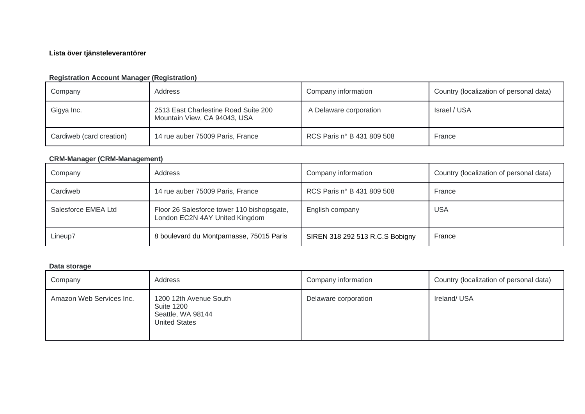## **Lista över tjänsteleverantörer**

## **Registration Account Manager (Registration)**

| Company                  | Address                                                              | Company information        | Country (localization of personal data) |
|--------------------------|----------------------------------------------------------------------|----------------------------|-----------------------------------------|
| Gigya Inc.               | 2513 East Charlestine Road Suite 200<br>Mountain View, CA 94043, USA | A Delaware corporation     | Israel / USA                            |
| Cardiweb (card creation) | 14 rue auber 75009 Paris, France                                     | RCS Paris n° B 431 809 508 | France                                  |

### **CRM-Manager (CRM-Management)**

| Company             | Address                                                                      | Company information             | Country (localization of personal data) |
|---------------------|------------------------------------------------------------------------------|---------------------------------|-----------------------------------------|
| Cardiweb            | 14 rue auber 75009 Paris, France                                             | RCS Paris n° B 431 809 508      | France                                  |
| Salesforce EMEA Ltd | Floor 26 Salesforce tower 110 bishopsgate,<br>London EC2N 4AY United Kingdom | English company                 | <b>USA</b>                              |
| Lineup7             | 8 boulevard du Montparnasse, 75015 Paris                                     | SIREN 318 292 513 R.C.S Bobigny | France                                  |

### **Data storage**

| Company                  | Address                                                                                  | Company information  | Country (localization of personal data) |
|--------------------------|------------------------------------------------------------------------------------------|----------------------|-----------------------------------------|
| Amazon Web Services Inc. | 1200 12th Avenue South<br><b>Suite 1200</b><br>Seattle, WA 98144<br><b>United States</b> | Delaware corporation | Ireland/USA                             |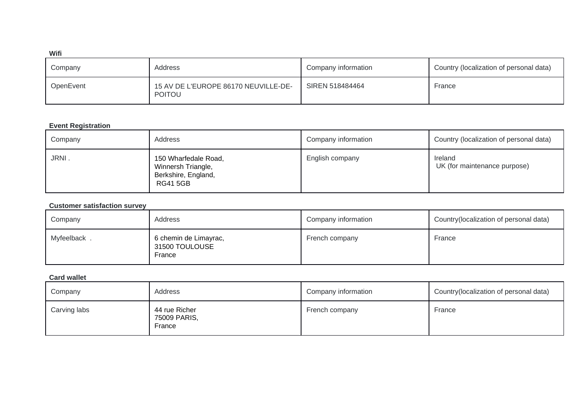#### **Wifi**

| Company   | Address                                               | Company information | Country (localization of personal data) |
|-----------|-------------------------------------------------------|---------------------|-----------------------------------------|
| OpenEvent | 15 AV DE L'EUROPE 86170 NEUVILLE-DE-<br><b>POITOU</b> | SIREN 518484464     | France                                  |

#### **Event Registration**

| Company | Address                                                                             | Company information | Country (localization of personal data) |
|---------|-------------------------------------------------------------------------------------|---------------------|-----------------------------------------|
| JRNI.   | 150 Wharfedale Road,<br>Winnersh Triangle,<br>Berkshire, England,<br><b>RG415GB</b> | English company     | Ireland<br>UK (for maintenance purpose) |

### **Customer satisfaction survey**

| Company     | Address                                           | Company information | Country (localization of personal data) |
|-------------|---------------------------------------------------|---------------------|-----------------------------------------|
| Myfeelback. | 6 chemin de Limayrac,<br>31500 TOULOUSE<br>France | French company      | France                                  |

#### **Card wallet**

| Company      | Address                                 | Company information | Country (localization of personal data) |
|--------------|-----------------------------------------|---------------------|-----------------------------------------|
| Carving labs | 44 rue Richer<br>75009 PARIS,<br>France | French company      | France                                  |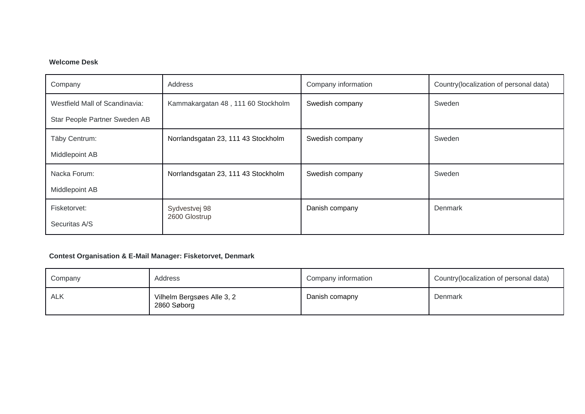## **Welcome Desk**

| Company                        | Address                             | Company information | Country(localization of personal data) |
|--------------------------------|-------------------------------------|---------------------|----------------------------------------|
| Westfield Mall of Scandinavia: | Kammakargatan 48, 111 60 Stockholm  | Swedish company     | Sweden                                 |
| Star People Partner Sweden AB  |                                     |                     |                                        |
| Täby Centrum:                  | Norrlandsgatan 23, 111 43 Stockholm | Swedish company     | Sweden                                 |
| Middlepoint AB                 |                                     |                     |                                        |
| Nacka Forum:                   | Norrlandsgatan 23, 111 43 Stockholm | Swedish company     | Sweden                                 |
| Middlepoint AB                 |                                     |                     |                                        |
| Fisketorvet:                   | Sydvestvej 98                       | Danish company      | Denmark                                |
| Securitas A/S                  | 2600 Glostrup                       |                     |                                        |

## **Contest Organisation & E-Mail Manager: Fisketorvet, Denmark**

| Company    | Address                                   | Company information | Country(localization of personal data) |
|------------|-------------------------------------------|---------------------|----------------------------------------|
| <b>ALK</b> | Vilhelm Bergsøes Alle 3, 2<br>2860 Søborg | Danish comapny      | Denmark                                |